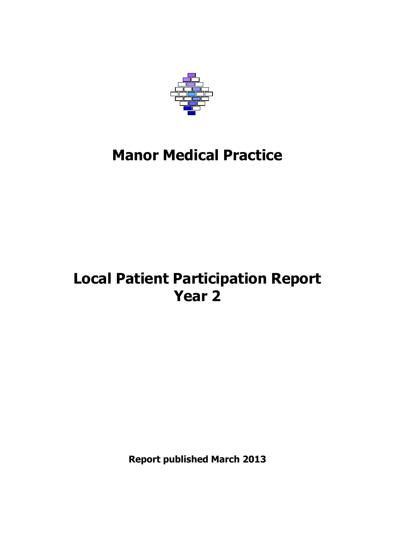

# **Manor Medical Practice**

# **Local Patient Participation Report Year 2**

**Report published March 2013**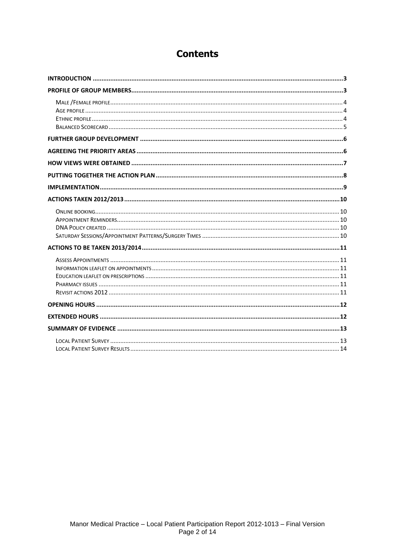### **Contents**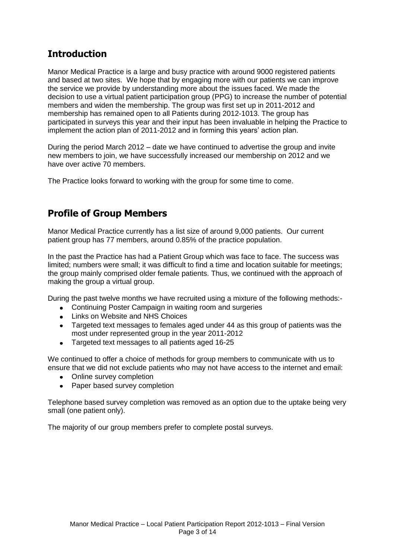# <span id="page-2-0"></span>**Introduction**

Manor Medical Practice is a large and busy practice with around 9000 registered patients and based at two sites. We hope that by engaging more with our patients we can improve the service we provide by understanding more about the issues faced. We made the decision to use a virtual patient participation group (PPG) to increase the number of potential members and widen the membership. The group was first set up in 2011-2012 and membership has remained open to all Patients during 2012-1013. The group has participated in surveys this year and their input has been invaluable in helping the Practice to implement the action plan of 2011-2012 and in forming this years' action plan.

During the period March 2012 – date we have continued to advertise the group and invite new members to join, we have successfully increased our membership on 2012 and we have over active 70 members.

The Practice looks forward to working with the group for some time to come.

# <span id="page-2-1"></span>**Profile of Group Members**

Manor Medical Practice currently has a list size of around 9,000 patients. Our current patient group has 77 members, around 0.85% of the practice population.

In the past the Practice has had a Patient Group which was face to face. The success was limited; numbers were small; it was difficult to find a time and location suitable for meetings; the group mainly comprised older female patients. Thus, we continued with the approach of making the group a virtual group.

During the past twelve months we have recruited using a mixture of the following methods:-

- Continuing Poster Campaign in waiting room and surgeries
- Links on Website and NHS Choices
- Targeted text messages to females aged under 44 as this group of patients was the most under represented group in the year 2011-2012
- Targeted text messages to all patients aged 16-25  $\bullet$

We continued to offer a choice of methods for group members to communicate with us to ensure that we did not exclude patients who may not have access to the internet and email:

- Online survey completion
- Paper based survey completion

Telephone based survey completion was removed as an option due to the uptake being very small (one patient only).

The majority of our group members prefer to complete postal surveys.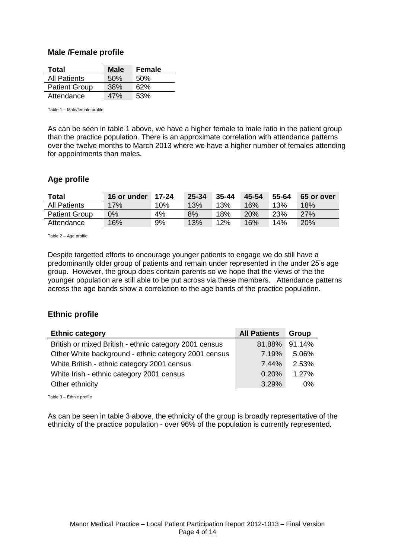#### <span id="page-3-0"></span>**Male /Female profile**

| Total                | <b>Male</b> | Female |
|----------------------|-------------|--------|
| <b>All Patients</b>  | 50%         | 50%    |
| <b>Patient Group</b> | 38%         | 62%    |
| Attendance           | 47%         | 53%    |

Table 1 – Male/female profile

As can be seen in table 1 above, we have a higher female to male ratio in the patient group than the practice population. There is an approximate correlation with attendance patterns over the twelve months to March 2013 where we have a higher number of females attending for appointments than males.

#### <span id="page-3-1"></span>**Age profile**

| <b>Total</b>         | 16 or under | 17-24 | 25-34 | $35 - 44$ | 45-54      | 55-64 | 65 or over |
|----------------------|-------------|-------|-------|-----------|------------|-------|------------|
| <b>All Patients</b>  | 17%         | 10%   | 13%   | 13%       | 16%        | 13%   | 18%        |
| <b>Patient Group</b> | $0\%$       | 4%    | 8%    | 18%       | <b>20%</b> | 23%   | 27%        |
| Attendance           | 16%         | 9%    | 13%   | 12%       | 16%        | 14%   | 20%        |

Table 2 – Age profile

Despite targetted efforts to encourage younger patients to engage we do still have a predominantly older group of patients and remain under represented in the under 25's age group. However, the group does contain parents so we hope that the views of the the younger population are still able to be put across via these members. Attendance patterns across the age bands show a correlation to the age bands of the practice population.

### <span id="page-3-2"></span>**Ethnic profile**

| <b>Ethnic category</b>                                 | <b>All Patients</b> | Group  |
|--------------------------------------------------------|---------------------|--------|
| British or mixed British - ethnic category 2001 census | 81.88%              | 91.14% |
| Other White background - ethnic category 2001 census   | 7.19%               | 5.06%  |
| White British - ethnic category 2001 census            | 7.44%               | 2.53%  |
| White Irish - ethnic category 2001 census              | 0.20%               | 1.27%  |
| Other ethnicity                                        | 3.29%               | 0%     |

Table 3 – Ethnic profile

As can be seen in table 3 above, the ethnicity of the group is broadly representative of the ethnicity of the practice population - over 96% of the population is currently represented.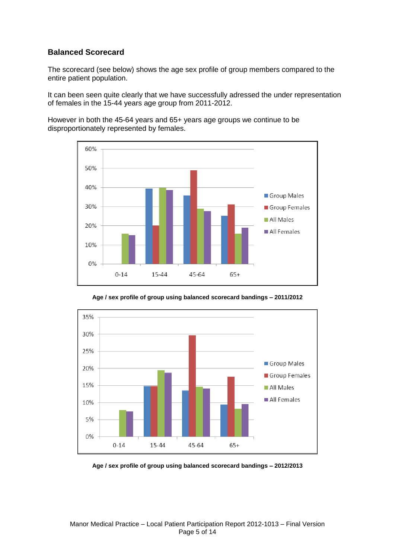### <span id="page-4-0"></span>**Balanced Scorecard**

The scorecard (see below) shows the age sex profile of group members compared to the entire patient population.

It can been seen quite clearly that we have successfully adressed the under representation of females in the 15-44 years age group from 2011-2012.

However in both the 45-64 years and 65+ years age groups we continue to be disproportionately represented by females.





**Age / sex profile of group using balanced scorecard bandings – 2011/2012**

**Age / sex profile of group using balanced scorecard bandings – 2012/2013**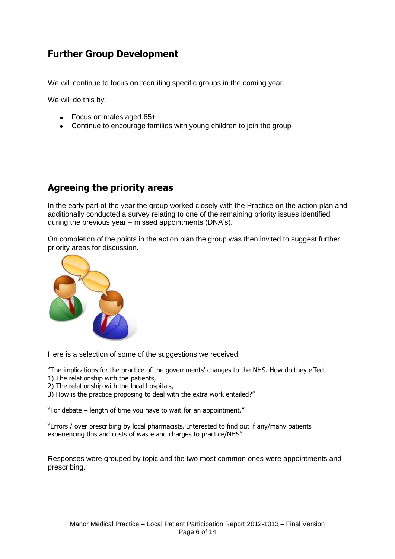# <span id="page-5-0"></span>**Further Group Development**

We will continue to focus on recruiting specific groups in the coming year.

We will do this by:

- Focus on males aged 65+
- Continue to encourage families with young children to join the group

### <span id="page-5-1"></span>**Agreeing the priority areas**

In the early part of the year the group worked closely with the Practice on the action plan and additionally conducted a survey relating to one of the remaining priority issues identified during the previous year – missed appointments (DNA's).

On completion of the points in the action plan the group was then invited to suggest further priority areas for discussion.



Here is a selection of some of the suggestions we received:

"The implications for the practice of the governments' changes to the NHS. How do they effect

- 1) The relationship with the patients,
- 2) The relationship with the local hospitals,
- 3) How is the practice proposing to deal with the extra work entailed?"

"For debate – length of time you have to wait for an appointment."

"Errors / over prescribing by local pharmacists. Interested to find out if any/many patients experiencing this and costs of waste and charges to practice/NHS"

Responses were grouped by topic and the two most common ones were appointments and prescribing.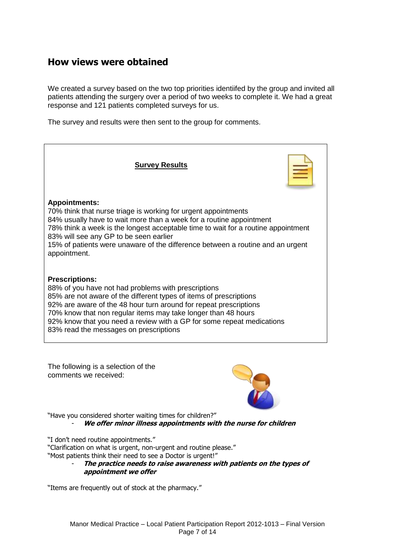### <span id="page-6-0"></span>**How views were obtained**

We created a survey based on the two top priorities identiifed by the group and invited all patients attending the surgery over a period of two weeks to complete it. We had a great response and 121 patients completed surveys for us.

The survey and results were then sent to the group for comments.





"Have you considered shorter waiting times for children?" - **We offer minor illness appointments with the nurse for children**

"I don't need routine appointments."

"Clarification on what is urgent, non-urgent and routine please."

"Most patients think their need to see a Doctor is urgent!"

- **The practice needs to raise awareness with patients on the types of appointment we offer**

"Items are frequently out of stock at the pharmacy."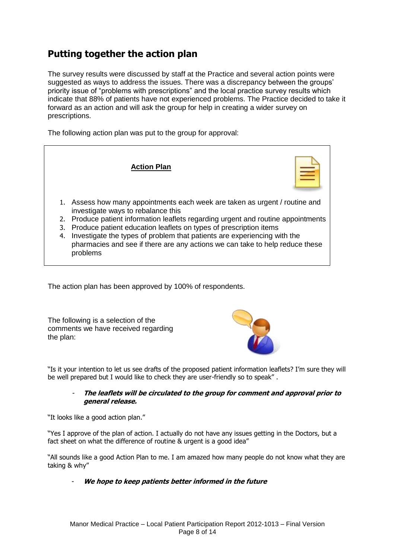# <span id="page-7-0"></span>**Putting together the action plan**

The survey results were discussed by staff at the Practice and several action points were suggested as ways to address the issues. There was a discrepancy between the groups' priority issue of "problems with prescriptions" and the local practice survey results which indicate that 88% of patients have not experienced problems. The Practice decided to take it forward as an action and will ask the group for help in creating a wider survey on prescriptions.

The following action plan was put to the group for approval:



The action plan has been approved by 100% of respondents.

The following is a selection of the comments we have received regarding the plan:



"Is it your intention to let us see drafts of the proposed patient information leaflets? I'm sure they will be well prepared but I would like to check they are user-friendly so to speak" .

#### **The leaflets will be circulated to the group for comment and approval prior to general release.**

"It looks like a good action plan."

"Yes I approve of the plan of action. I actually do not have any issues getting in the Doctors, but a fact sheet on what the difference of routine & urgent is a good idea"

"All sounds like a good Action Plan to me. I am amazed how many people do not know what they are taking & why"

We hope to keep patients better informed in the future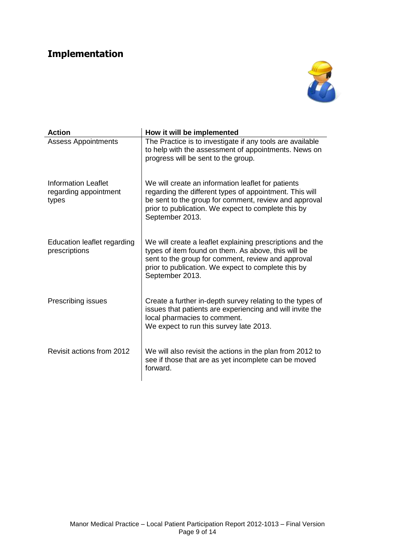# <span id="page-8-0"></span>**Implementation**



| <b>Action</b>                                                | How it will be implemented                                                                                                                                                                                                                       |
|--------------------------------------------------------------|--------------------------------------------------------------------------------------------------------------------------------------------------------------------------------------------------------------------------------------------------|
| <b>Assess Appointments</b>                                   | The Practice is to investigate if any tools are available<br>to help with the assessment of appointments. News on<br>progress will be sent to the group.                                                                                         |
| <b>Information Leaflet</b><br>regarding appointment<br>types | We will create an information leaflet for patients<br>regarding the different types of appointment. This will<br>be sent to the group for comment, review and approval<br>prior to publication. We expect to complete this by<br>September 2013. |
| Education leaflet regarding<br>prescriptions                 | We will create a leaflet explaining prescriptions and the<br>types of item found on them. As above, this will be<br>sent to the group for comment, review and approval<br>prior to publication. We expect to complete this by<br>September 2013. |
| Prescribing issues                                           | Create a further in-depth survey relating to the types of<br>issues that patients are experiencing and will invite the<br>local pharmacies to comment.<br>We expect to run this survey late 2013.                                                |
| Revisit actions from 2012                                    | We will also revisit the actions in the plan from 2012 to<br>see if those that are as yet incomplete can be moved<br>forward.                                                                                                                    |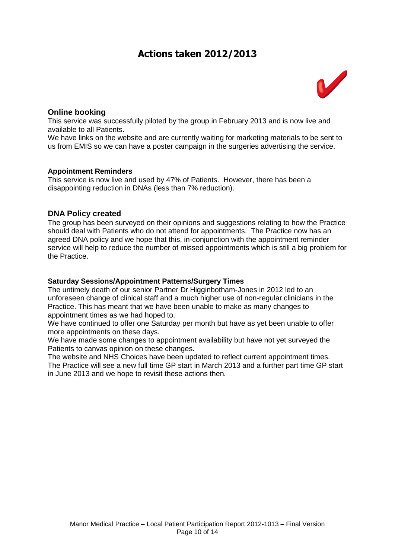### **Actions taken 2012/2013**



### <span id="page-9-1"></span><span id="page-9-0"></span>**Online booking**

This service was successfully piloted by the group in February 2013 and is now live and available to all Patients.

We have links on the website and are currently waiting for marketing materials to be sent to us from EMIS so we can have a poster campaign in the surgeries advertising the service.

#### <span id="page-9-2"></span>**Appointment Reminders**

This service is now live and used by 47% of Patients. However, there has been a disappointing reduction in DNAs (less than 7% reduction).

#### <span id="page-9-3"></span>**DNA Policy created**

The group has been surveyed on their opinions and suggestions relating to how the Practice should deal with Patients who do not attend for appointments. The Practice now has an agreed DNA policy and we hope that this, in-conjunction with the appointment reminder service will help to reduce the number of missed appointments which is still a big problem for the Practice.

#### <span id="page-9-4"></span>**Saturday Sessions/Appointment Patterns/Surgery Times**

The untimely death of our senior Partner Dr Higginbotham-Jones in 2012 led to an unforeseen change of clinical staff and a much higher use of non-regular clinicians in the Practice. This has meant that we have been unable to make as many changes to appointment times as we had hoped to.

We have continued to offer one Saturday per month but have as yet been unable to offer more appointments on these days.

We have made some changes to appointment availability but have not yet surveyed the Patients to canvas opinion on these changes.

The website and NHS Choices have been updated to reflect current appointment times. The Practice will see a new full time GP start in March 2013 and a further part time GP start in June 2013 and we hope to revisit these actions then.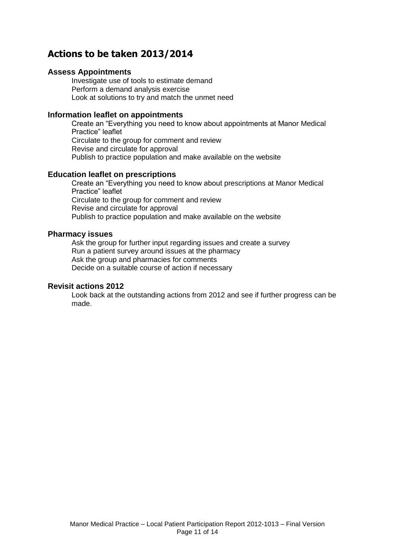### <span id="page-10-0"></span>**Actions to be taken 2013/2014**

#### <span id="page-10-1"></span>**Assess Appointments**

Investigate use of tools to estimate demand Perform a demand analysis exercise Look at solutions to try and match the unmet need

#### <span id="page-10-2"></span>**Information leaflet on appointments**

Create an "Everything you need to know about appointments at Manor Medical Practice" leaflet Circulate to the group for comment and review Revise and circulate for approval Publish to practice population and make available on the website

#### <span id="page-10-3"></span>**Education leaflet on prescriptions**

Create an "Everything you need to know about prescriptions at Manor Medical Practice" leaflet Circulate to the group for comment and review Revise and circulate for approval Publish to practice population and make available on the website

#### <span id="page-10-4"></span>**Pharmacy issues**

Ask the group for further input regarding issues and create a survey Run a patient survey around issues at the pharmacy Ask the group and pharmacies for comments Decide on a suitable course of action if necessary

#### <span id="page-10-5"></span>**Revisit actions 2012**

Look back at the outstanding actions from 2012 and see if further progress can be made.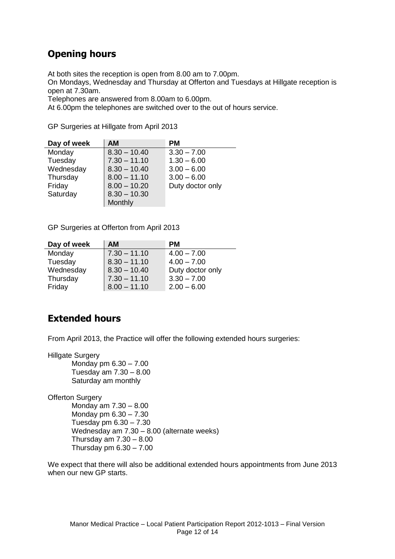### <span id="page-11-0"></span>**Opening hours**

At both sites the reception is open from 8.00 am to 7.00pm.

On Mondays, Wednesday and Thursday at Offerton and Tuesdays at Hillgate reception is open at 7.30am.

Telephones are answered from 8.00am to 6.00pm.

At 6.00pm the telephones are switched over to the out of hours service.

GP Surgeries at Hillgate from April 2013

| Day of week | <b>AM</b>      | <b>PM</b>        |
|-------------|----------------|------------------|
| Monday      | $8.30 - 10.40$ | $3.30 - 7.00$    |
| Tuesday     | $7.30 - 11.10$ | $1.30 - 6.00$    |
| Wednesday   | $8.30 - 10.40$ | $3.00 - 6.00$    |
| Thursday    | $8.00 - 11.10$ | $3.00 - 6.00$    |
| Friday      | $8.00 - 10.20$ | Duty doctor only |
| Saturday    | $8.30 - 10.30$ |                  |
|             | Monthly        |                  |

GP Surgeries at Offerton from April 2013

| Day of week | <b>AM</b>      | <b>PM</b>        |
|-------------|----------------|------------------|
| Monday      | $7.30 - 11.10$ | $4.00 - 7.00$    |
| Tuesday     | $8.30 - 11.10$ | $4.00 - 7.00$    |
| Wednesday   | $8.30 - 10.40$ | Duty doctor only |
| Thursday    | $7.30 - 11.10$ | $3.30 - 7.00$    |
| Friday      | $8.00 - 11.10$ | $2.00 - 6.00$    |

### <span id="page-11-1"></span>**Extended hours**

From April 2013, the Practice will offer the following extended hours surgeries:

Hillgate Surgery

Monday pm 6.30 – 7.00 Tuesday am 7.30 – 8.00 Saturday am monthly

**Offerton Surgery** Monday am 7.30 – 8.00 Monday pm 6.30 – 7.30 Tuesday pm 6.30 – 7.30 Wednesday am 7.30 – 8.00 (alternate weeks) Thursday am 7.30 – 8.00 Thursday pm  $6.30 - 7.00$ 

We expect that there will also be additional extended hours appointments from June 2013 when our new GP starts.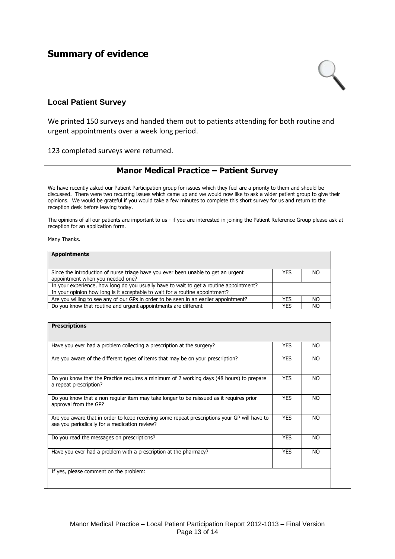### <span id="page-12-0"></span>**Summary of evidence**



#### <span id="page-12-1"></span>**Local Patient Survey**

We printed 150 surveys and handed them out to patients attending for both routine and urgent appointments over a week long period.

123 completed surveys were returned.

#### **Manor Medical Practice – Patient Survey**

We have recently asked our Patient Participation group for issues which they feel are a priority to them and should be discussed. There were two recurring issues which came up and we would now like to ask a wider patient group to give their opinions. We would be grateful if you would take a few minutes to complete this short survey for us and return to the reception desk before leaving today.

The opinions of all our patients are important to us - if you are interested in joining the Patient Reference Group please ask at reception for an application form.

Many Thanks.

#### **Appointments**

| Since the introduction of nurse triage have you ever been unable to get an urgent      | YES        | NO  |
|----------------------------------------------------------------------------------------|------------|-----|
| appointment when you needed one?                                                       |            |     |
| In your experience, how long do you usually have to wait to get a routine appointment? |            |     |
| In your opinion how long is it acceptable to wait for a routine appointment?           |            |     |
| Are you willing to see any of our GPs in order to be seen in an earlier appointment?   | <b>YES</b> | NO. |
| Do you know that routine and urgent appointments are different                         | <b>YES</b> | NO  |

| <b>Prescriptions</b>                                                                                                                          |            |     |
|-----------------------------------------------------------------------------------------------------------------------------------------------|------------|-----|
| Have you ever had a problem collecting a prescription at the surgery?                                                                         | <b>YES</b> | NO. |
|                                                                                                                                               |            |     |
| Are you aware of the different types of items that may be on your prescription?                                                               | <b>YES</b> | NO. |
| Do you know that the Practice requires a minimum of 2 working days (48 hours) to prepare<br>a repeat prescription?                            | <b>YES</b> | NO. |
| Do you know that a non regular item may take longer to be reissued as it requires prior<br>approval from the GP?                              | <b>YES</b> | NO. |
| Are you aware that in order to keep receiving some repeat prescriptions your GP will have to<br>see you periodically for a medication review? | <b>YES</b> | NO. |
| Do you read the messages on prescriptions?                                                                                                    | <b>YES</b> | NO. |
| Have you ever had a problem with a prescription at the pharmacy?                                                                              | <b>YES</b> | NO. |
| If yes, please comment on the problem:                                                                                                        |            |     |